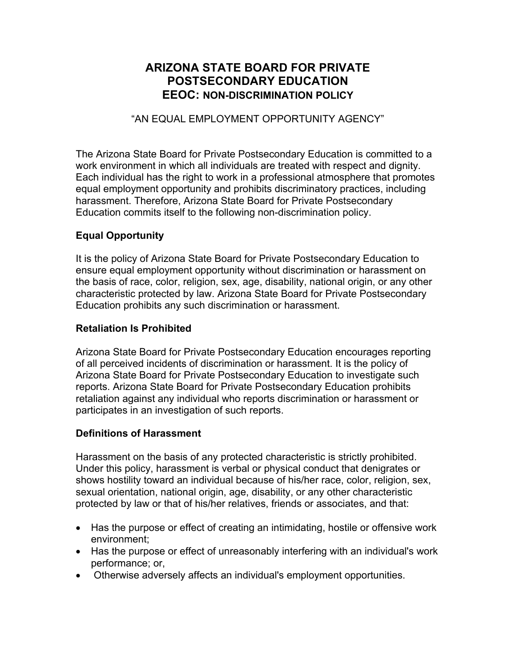# **ARIZONA STATE BOARD FOR PRIVATE POSTSECONDARY EDUCATION EEOC: NON-DISCRIMINATION POLICY**

#### "AN EQUAL EMPLOYMENT OPPORTUNITY AGENCY"

The Arizona State Board for Private Postsecondary Education is committed to a work environment in which all individuals are treated with respect and dignity. Each individual has the right to work in a professional atmosphere that promotes equal employment opportunity and prohibits discriminatory practices, including harassment. Therefore, Arizona State Board for Private Postsecondary Education commits itself to the following non-discrimination policy.

#### **Equal Opportunity**

It is the policy of Arizona State Board for Private Postsecondary Education to ensure equal employment opportunity without discrimination or harassment on the basis of race, color, religion, sex, age, disability, national origin, or any other characteristic protected by law. Arizona State Board for Private Postsecondary Education prohibits any such discrimination or harassment.

#### **Retaliation Is Prohibited**

Arizona State Board for Private Postsecondary Education encourages reporting of all perceived incidents of discrimination or harassment. It is the policy of Arizona State Board for Private Postsecondary Education to investigate such reports. Arizona State Board for Private Postsecondary Education prohibits retaliation against any individual who reports discrimination or harassment or participates in an investigation of such reports.

#### **Definitions of Harassment**

Harassment on the basis of any protected characteristic is strictly prohibited. Under this policy, harassment is verbal or physical conduct that denigrates or shows hostility toward an individual because of his/her race, color, religion, sex, sexual orientation, national origin, age, disability, or any other characteristic protected by law or that of his/her relatives, friends or associates, and that:

- Has the purpose or effect of creating an intimidating, hostile or offensive work environment;
- Has the purpose or effect of unreasonably interfering with an individual's work performance; or,
- Otherwise adversely affects an individual's employment opportunities.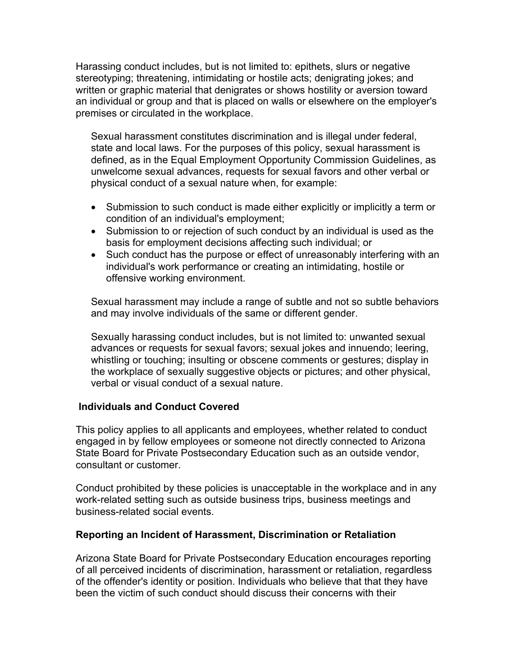Harassing conduct includes, but is not limited to: epithets, slurs or negative stereotyping; threatening, intimidating or hostile acts; denigrating jokes; and written or graphic material that denigrates or shows hostility or aversion toward an individual or group and that is placed on walls or elsewhere on the employer's premises or circulated in the workplace.

Sexual harassment constitutes discrimination and is illegal under federal, state and local laws. For the purposes of this policy, sexual harassment is defined, as in the Equal Employment Opportunity Commission Guidelines, as unwelcome sexual advances, requests for sexual favors and other verbal or physical conduct of a sexual nature when, for example:

- Submission to such conduct is made either explicitly or implicitly a term or condition of an individual's employment;
- Submission to or rejection of such conduct by an individual is used as the basis for employment decisions affecting such individual; or
- Such conduct has the purpose or effect of unreasonably interfering with an individual's work performance or creating an intimidating, hostile or offensive working environment.

Sexual harassment may include a range of subtle and not so subtle behaviors and may involve individuals of the same or different gender.

Sexually harassing conduct includes, but is not limited to: unwanted sexual advances or requests for sexual favors; sexual jokes and innuendo; leering, whistling or touching; insulting or obscene comments or gestures; display in the workplace of sexually suggestive objects or pictures; and other physical, verbal or visual conduct of a sexual nature.

#### **Individuals and Conduct Covered**

This policy applies to all applicants and employees, whether related to conduct engaged in by fellow employees or someone not directly connected to Arizona State Board for Private Postsecondary Education such as an outside vendor, consultant or customer.

Conduct prohibited by these policies is unacceptable in the workplace and in any work-related setting such as outside business trips, business meetings and business-related social events.

#### **Reporting an Incident of Harassment, Discrimination or Retaliation**

Arizona State Board for Private Postsecondary Education encourages reporting of all perceived incidents of discrimination, harassment or retaliation, regardless of the offender's identity or position. Individuals who believe that that they have been the victim of such conduct should discuss their concerns with their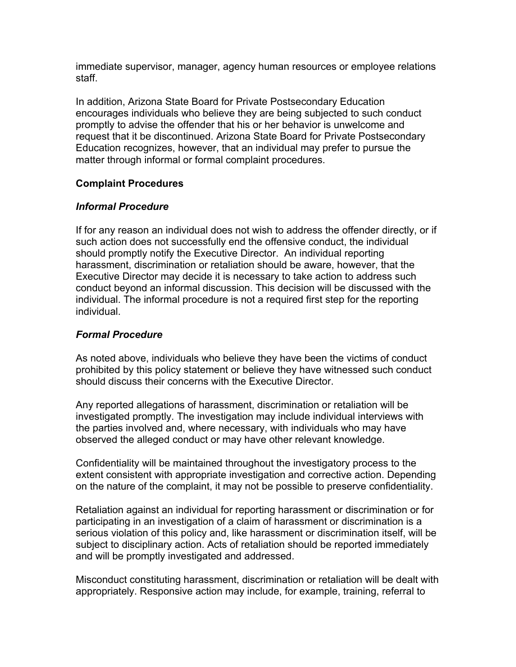immediate supervisor, manager, agency human resources or employee relations staff.

In addition, Arizona State Board for Private Postsecondary Education encourages individuals who believe they are being subjected to such conduct promptly to advise the offender that his or her behavior is unwelcome and request that it be discontinued. Arizona State Board for Private Postsecondary Education recognizes, however, that an individual may prefer to pursue the matter through informal or formal complaint procedures.

## **Complaint Procedures**

## *Informal Procedure*

If for any reason an individual does not wish to address the offender directly, or if such action does not successfully end the offensive conduct, the individual should promptly notify the Executive Director. An individual reporting harassment, discrimination or retaliation should be aware, however, that the Executive Director may decide it is necessary to take action to address such conduct beyond an informal discussion. This decision will be discussed with the individual. The informal procedure is not a required first step for the reporting individual.

## *Formal Procedure*

As noted above, individuals who believe they have been the victims of conduct prohibited by this policy statement or believe they have witnessed such conduct should discuss their concerns with the Executive Director.

Any reported allegations of harassment, discrimination or retaliation will be investigated promptly. The investigation may include individual interviews with the parties involved and, where necessary, with individuals who may have observed the alleged conduct or may have other relevant knowledge.

Confidentiality will be maintained throughout the investigatory process to the extent consistent with appropriate investigation and corrective action. Depending on the nature of the complaint, it may not be possible to preserve confidentiality.

Retaliation against an individual for reporting harassment or discrimination or for participating in an investigation of a claim of harassment or discrimination is a serious violation of this policy and, like harassment or discrimination itself, will be subject to disciplinary action. Acts of retaliation should be reported immediately and will be promptly investigated and addressed.

Misconduct constituting harassment, discrimination or retaliation will be dealt with appropriately. Responsive action may include, for example, training, referral to